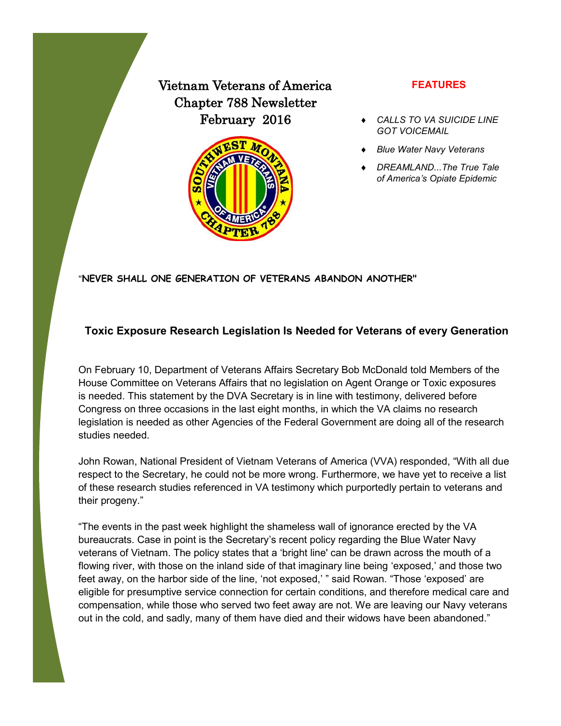# Vietnam Veterans of America Chapter 788 Newsletter February 2016



#### **FEATURES**

- *CALLS TO VA SUICIDE LINE GOT VOICEMAIL*
- *Blue Water Navy Veterans*
- *DREAMLAND...The True Tale of America's Opiate Epidemic*

"**NEVER SHALL ONE GENERATION OF VETERANS ABANDON ANOTHER"**

### **Toxic Exposure Research Legislation Is Needed for Veterans of every Generation**

On February 10, Department of Veterans Affairs Secretary Bob McDonald told Members of the House Committee on Veterans Affairs that no legislation on Agent Orange or Toxic exposures is needed. This statement by the DVA Secretary is in line with testimony, delivered before Congress on three occasions in the last eight months, in which the VA claims no research legislation is needed as other Agencies of the Federal Government are doing all of the research studies needed.

John Rowan, National President of Vietnam Veterans of America (VVA) responded, "With all due respect to the Secretary, he could not be more wrong. Furthermore, we have yet to receive a list of these research studies referenced in VA testimony which purportedly pertain to veterans and their progeny."

"The events in the past week highlight the shameless wall of ignorance erected by the VA bureaucrats. Case in point is the Secretary's recent policy regarding the Blue Water Navy veterans of Vietnam. The policy states that a 'bright line' can be drawn across the mouth of a flowing river, with those on the inland side of that imaginary line being 'exposed,' and those two feet away, on the harbor side of the line, 'not exposed,' " said Rowan. "Those 'exposed' are eligible for presumptive service connection for certain conditions, and therefore medical care and compensation, while those who served two feet away are not. We are leaving our Navy veterans out in the cold, and sadly, many of them have died and their widows have been abandoned."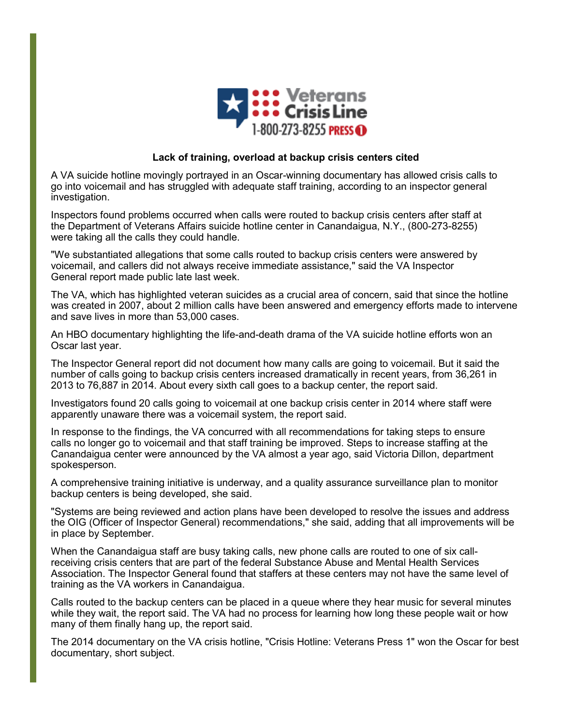

#### **Lack of training, overload at backup crisis centers cited**

A VA suicide hotline movingly portrayed in an Oscar-winning documentary has allowed crisis calls to go into voicemail and has struggled with adequate staff training, according to an inspector general investigation.

Inspectors found problems occurred when calls were routed to backup crisis centers after staff at the Department of Veterans Affairs suicide hotline center in Canandaigua, N.Y., (800-273-8255) were taking all the calls they could handle.

"We substantiated allegations that some calls routed to backup crisis centers were answered by voicemail, and callers did not always receive immediate assistance," said the VA Inspector General report made public late last week.

The VA, which has highlighted veteran suicides as a crucial area of concern, said that since the hotline was created in 2007, about 2 million calls have been answered and emergency efforts made to intervene and save lives in more than 53,000 cases.

An HBO documentary highlighting the life-and-death drama of the VA suicide hotline efforts won an Oscar last year.

The Inspector General report did not document how many calls are going to voicemail. But it said the number of calls going to backup crisis centers increased dramatically in recent years, from 36,261 in 2013 to 76,887 in 2014. About every sixth call goes to a backup center, the report said.

Investigators found 20 calls going to voicemail at one backup crisis center in 2014 where staff were apparently unaware there was a voicemail system, the report said.

In response to the findings, the VA concurred with all recommendations for taking steps to ensure calls no longer go to voicemail and that staff training be improved. Steps to increase staffing at the Canandaigua center were announced by the VA almost a year ago, said Victoria Dillon, department spokesperson.

A comprehensive training initiative is underway, and a quality assurance surveillance plan to monitor backup centers is being developed, she said.

"Systems are being reviewed and action plans have been developed to resolve the issues and address the OIG (Officer of Inspector General) recommendations," she said, adding that all improvements will be in place by September.

When the Canandaigua staff are busy taking calls, new phone calls are routed to one of six callreceiving crisis centers that are part of the federal Substance Abuse and Mental Health Services Association. The Inspector General found that staffers at these centers may not have the same level of training as the VA workers in Canandaigua.

Calls routed to the backup centers can be placed in a queue where they hear music for several minutes while they wait, the report said. The VA had no process for learning how long these people wait or how many of them finally hang up, the report said.

The 2014 documentary on the VA crisis hotline, "Crisis Hotline: Veterans Press 1" won the Oscar for best documentary, short subject.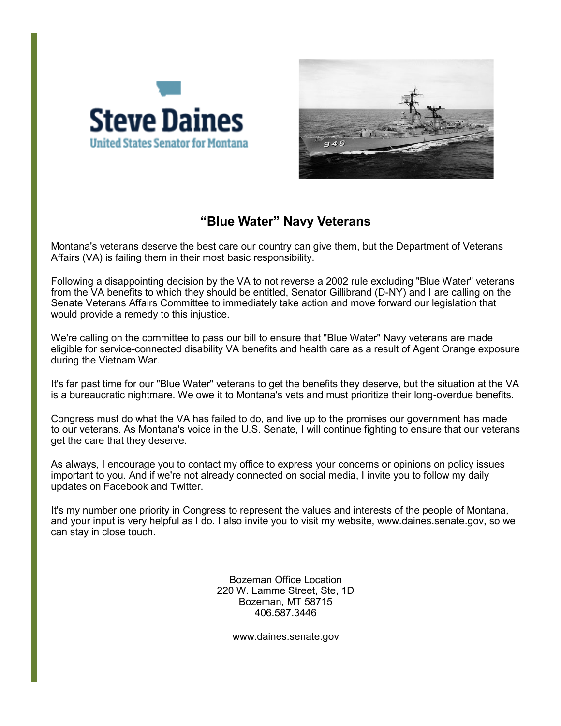



### **"Blue Water" Navy Veterans**

Montana's veterans deserve the best care our country can give them, but the Department of Veterans Affairs (VA) is failing them in their most basic responsibility.

Following a disappointing decision by the VA to not reverse a 2002 rule excluding "Blue Water" veterans from the VA benefits to which they should be entitled, Senator Gillibrand (D-NY) and I are calling on the Senate Veterans Affairs Committee to immediately take action and move forward our legislation that would provide a remedy to this injustice.

We're calling on the committee to pass our bill to ensure that "Blue Water" Navy veterans are made eligible for service-connected disability VA benefits and health care as a result of Agent Orange exposure during the Vietnam War.

It's far past time for our "Blue Water" veterans to get the benefits they deserve, but the situation at the VA is a bureaucratic nightmare. We owe it to Montana's vets and must prioritize their long-overdue benefits.

Congress must do what the VA has failed to do, and live up to the promises our government has made to our veterans. As Montana's voice in the U.S. Senate, I will continue fighting to ensure that our veterans get the care that they deserve.

As always, I encourage you to contact my office to express your concerns or opinions on policy issues important to you. And if we're not already connected on social media, I invite you to follow my daily updates on Facebook and Twitter.

It's my number one priority in Congress to represent the values and interests of the people of Montana, and your input is very helpful as I do. I also invite you to visit my website, www.daines.senate.gov, so we can stay in close touch.

> Bozeman Office Location 220 W. Lamme Street, Ste, 1D Bozeman, MT 58715 406.587.3446

> > www.daines.senate.gov